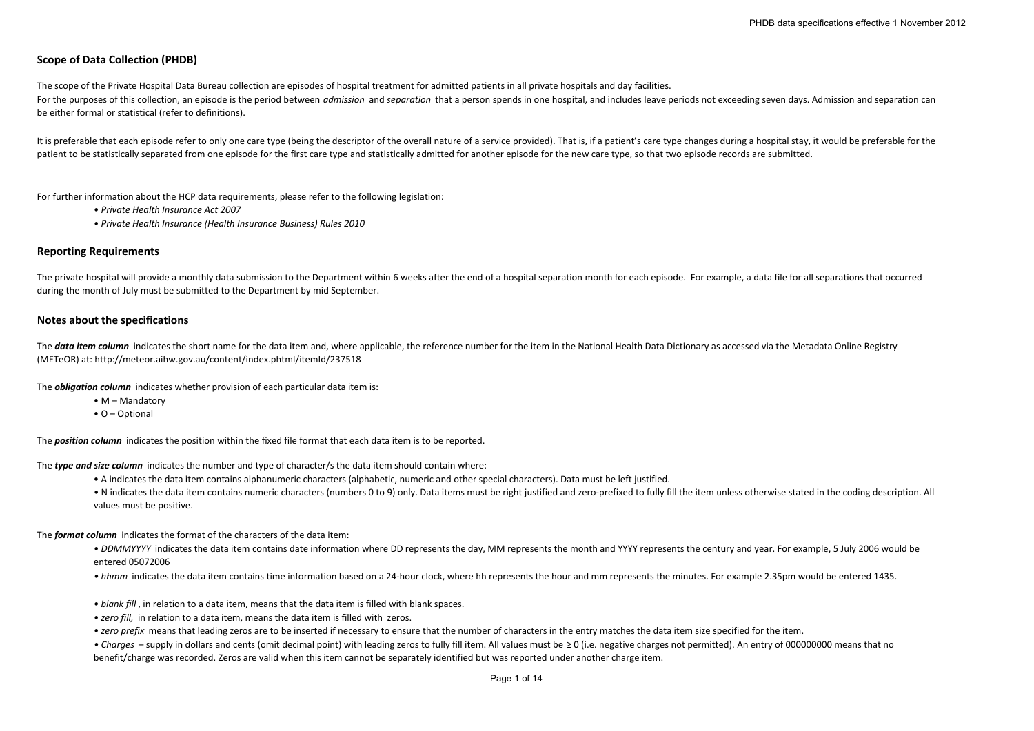# **Scope of Data Collection (PHDB)**

The scope of the Private Hospital Data Bureau collection are episodes of hospital treatment for admitted patients in all private hospitals and day facilities. For the purposes of this collection, an episode is the period between *admission* and separation that a person spends in one hospital, and includes leave periods not exceeding seven days. Admission and separation can be either formal or statistical (refer to definitions).

It is preferable that each episode refer to only one care type (being the descriptor of the overall nature of a service provided). That is, if a patient's care type changes during a hospital stay, it would be preferable fo patient to be statistically separated from one episode for the first care type and statistically admitted for another episode for the new care type, so that two episode records are submitted.

For further information about the HCP data requirements, please refer to the following legislation:

- *• Private Health Insurance Act 2007*
- *• Private Health Insurance (Health Insurance Business) Rules 2010*

#### **Reporting Requirements**

The private hospital will provide a monthly data submission to the Department within 6 weeks after the end of a hospital separation month for each episode. For example, a data file for all separations that occurred during the month of July must be submitted to the Department by mid September.

#### **Notes about the specifications**

The data item column indicates the short name for the data item and, where applicable, the reference number for the item in the National Health Data Dictionary as accessed via the Metadata Online Registry (METeOR) at: http://meteor.aihw.gov.au/content/index.phtml/itemId/237518

The *obligation column* indicates whether provision of each particular data item is:

- M Mandatory
- O Optional

The *position column* indicates the position within the fixed file format that each data item is to be reported.

The *type and size column* indicates the number and type of character/s the data item should contain where:

- A indicates the data item contains alphanumeric characters (alphabetic, numeric and other special characters). Data must be left justified.
- N indicates the data item contains numeric characters (numbers 0 to 9) only. Data items must be right justified and zero-prefixed to fully fill the item unless otherwise stated in the coding description. All values must be positive.

The *format column* indicates the format of the characters of the data item:

• DDMMYYYY indicates the data item contains date information where DD represents the day, MM represents the month and YYYY represents the century and year. For example, 5 July 2006 would be entered 05072006

- hhmm indicates the data item contains time information based on a 24‐hour clock, where hh represents the hour and mm represents the minutes. For example 2.35pm would be entered 1435.
- *• blank fill* , in relation to <sup>a</sup> data item, means that the data item is filled with blank spaces.
- *• zero fill,* in relation to <sup>a</sup> data item, means the data item is filled with zeros.
- *• zero prefix* means that leading zeros are to be inserted if necessary to ensure that the number of characters in the entry matches the data item size specified for the item.

• *Charges* – supply in dollars and cents (omit decimal point) with leading zeros to fully fill item. All values must be ≥ 0 (i.e. negative charges not permitted). An entry of 000000000 means that no benefit/charge was recorded. Zeros are valid when this item cannot be separately identified but was reported under another charge item.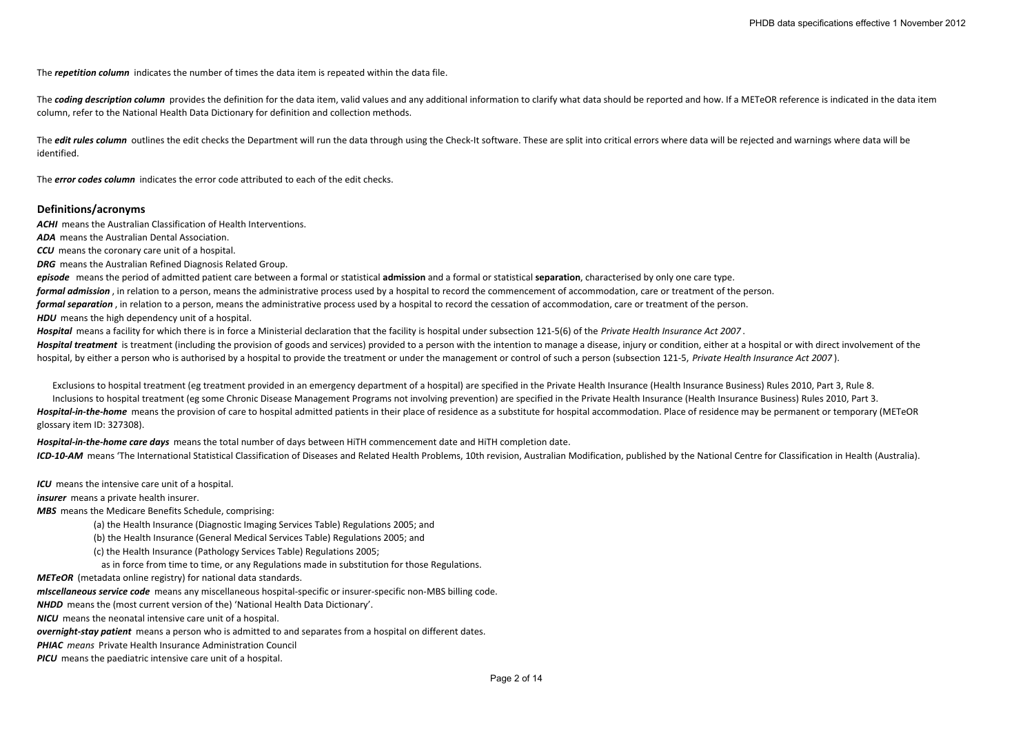The *repetition column* indicates the number of times the data item is repeated within the data file.

The coding description column provides the definition for the data item, valid values and any additional information to clarify what data should be reported and how. If a METeOR reference is indicated in the data item column, refer to the National Health Data Dictionary for definition and collection methods.

The *edit rules column* outlines the edit checks the Department will run the data through using the Check-It software. These are split into critical errors where data will be rejected and warnings where data will be identified.

The *error codes column* indicates the error code attributed to each of the edit checks.

#### **Definitions/acronyms**

*ACHI* means the Australian Classification of Health Interventions.

*ADA* means the Australian Dental Association.

*CCU* means the coronary care unit of <sup>a</sup> hospital.

*DRG* means the Australian Refined Diagnosis Related Group.

*episode* means the period of admitted patient care between <sup>a</sup> formal or statistical **admission** and <sup>a</sup> formal or statistical **separation**, characterised by only one care type. *formal admission* , in relation to <sup>a</sup> person, means the administrative process used by <sup>a</sup> hospital to record the commencement of accommodation, care or treatment of the person. *formal separation* , in relation to <sup>a</sup> person, means the administrative process used by <sup>a</sup> hospital to record the cessation of accommodation, care or treatment of the person. *HDU* means the high dependency unit of <sup>a</sup> hospital.

*Hospital* means <sup>a</sup> facility for which there is in force <sup>a</sup> Ministerial declaration that the facility is hospital under subsection 121‐5(6) of the *Private Health Insurance Act 2007* . Hospital treatment is treatment (including the provision of goods and services) provided to a person with the intention to manage a disease, injury or condition, either at a hospital or with direct involvement of the hospital, by either a person who is authorised by a hospital to provide the treatment or under the management or control of such a person (subsection 121-5, Private Health Insurance Act 2007).

Exclusions to hospital treatment (eg treatment provided in an emergency department of <sup>a</sup> hospital) are specified in the Private Health Insurance (Health Insurance Business) Rules 2010, Part 3, Rule 8. Inclusions to hospital treatment (eg some Chronic Disease Management Programs not involving prevention) are specified in the Private Health Insurance (Health Insurance Business) Rules 2010, Part 3. Hospital-in-the-home means the provision of care to hospital admitted patients in their place of residence as a substitute for hospital accommodation. Place of residence may be permanent or temporary (METeOR glossary item ID: 327308).

*Hospital‐in‐the‐home care days* means the total number of days between HiTH commencement date and HiTH completion date. ICD-10-AM means 'The International Statistical Classification of Diseases and Related Health Problems, 10th revision, Australian Modification, published by the National Centre for Classification in Health (Australia).

*ICU* means the intensive care unit of <sup>a</sup> hospital.

*insurer* means a private health insurer.

*MBS* means the Medicare Benefits Schedule, comprising:

(a) the Health Insurance (Diagnostic Imaging Services Table) Regulations 2005; and

(b) the Health Insurance (General Medical Services Table) Regulations 2005; and

(c) the Health Insurance (Pathology Services Table) Regulations 2005;

as in force from time to time, or any Regulations made in substitution for those Regulations.

*METeOR* (metadata online registry) for national data standards.

*mIscellaneous service code* means any miscellaneous hospital‐specific or insurer‐specific non‐MBS billing code.

*NHDD* means the (most current version of the) 'National Health Data Dictionary'.

*NICU* means the neonatal intensive care unit of <sup>a</sup> hospital.

*overnight‐stay patient* means <sup>a</sup> person who is admitted to and separates from <sup>a</sup> hospital on different dates.

*PHIAC means* Private Health Insurance Administration Council

*PICU* means the paediatric intensive care unit of <sup>a</sup> hospital.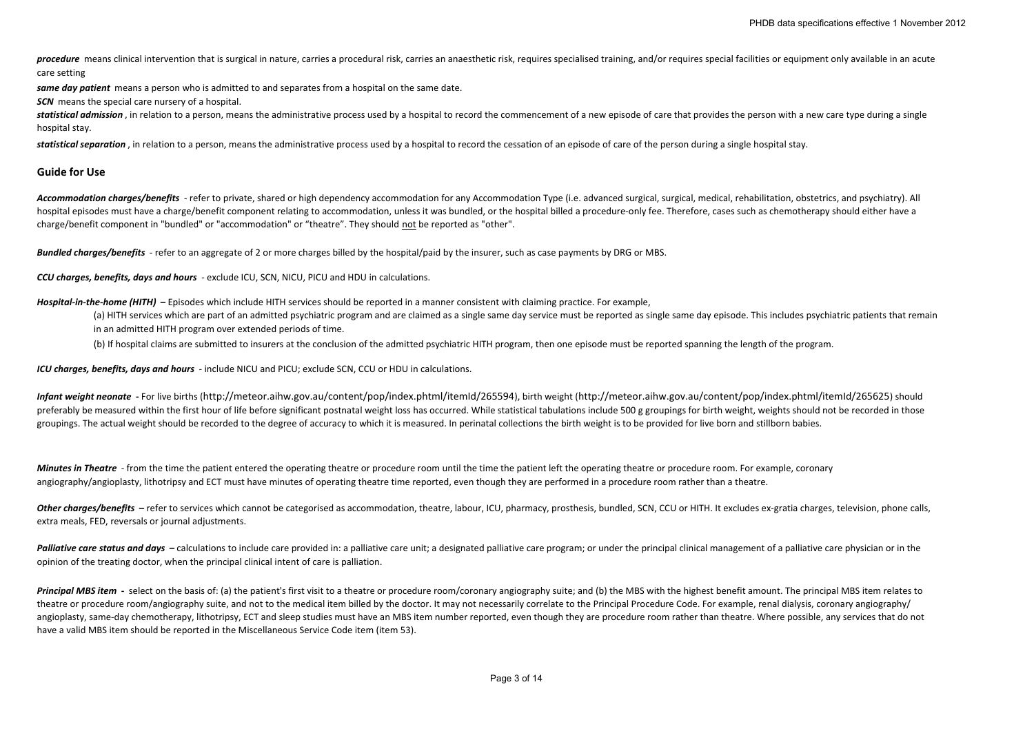procedure means clinical intervention that is surgical in nature, carries a procedural risk, carries an anaesthetic risk, requires specialised training, and/or requires special facilities or equipment only available in an care setting

*same day patient* means <sup>a</sup> person who is admitted to and separates from <sup>a</sup> hospital on the same date.

*SCN* means the special care nursery of <sup>a</sup> hospital.

statistical admission, in relation to a person, means the administrative process used by a hospital to record the commencement of a new episode of care that provides the person with a new care type during a single hospital stay.

*statistical separation* , in relation to <sup>a</sup> person, means the administrative process used by <sup>a</sup> hospital to record the cessation of an episode of care of the person during <sup>a</sup> single hospital stay.

### **Guide for Use**

Accommodation charges/benefits - refer to private, shared or high dependency accommodation for any Accommodation Type (i.e. advanced surgical, surgical, medical, rehabilitation, obstetrics, and psychiatry). All hospital episodes must have a charge/benefit component relating to accommodation, unless it was bundled, or the hospital billed a procedure-only fee. Therefore, cases such as chemotherapy should either have a charge/benefit component in "bundled" or "accommodation" or "theatre". They should not be reported as "other".

*Bundled charges/benefits* ‐ refer to an aggregate of 2 or more charges billed by the hospital/paid by the insurer, such as case payments by DRG or MBS.

*CCU charges, benefits, days and hours* ‐ exclude ICU, SCN, NICU, PICU and HDU in calculations.

*Hospital‐in‐the‐home (HITH)* **–** Episodes which include HITH services should be reported in <sup>a</sup> manner consistent with claiming practice. For example,

(a) HITH services which are part of an admitted psychiatric program and are claimed as a single same day service must be reported as single same day episode. This includes psychiatric patients that remain in an admitted HITH program over extended periods of time.

(b) If hospital claims are submitted to insurers at the conclusion of the admitted psychiatric HITH program, then one episode must be reported spanning the length of the program.

*ICU charges, benefits, days and hours* ‐ include NICU and PICU; exclude SCN, CCU or HDU in calculations.

Infant weight neonate - For live births (http://meteor.aihw.gov.au/content/pop/index.phtml/itemld/265594), birth weight (http://meteor.aihw.gov.au/content/pop/index.phtml/itemld/265625) should preferably be measured within the first hour of life before significant postnatal weight loss has occurred. While statistical tabulations include 500 g groupings for birth weight, weights should not be recorded in those groupings. The actual weight should be recorded to the degree of accuracy to which it is measured. In perinatal collections the birth weight is to be provided for live born and stillborn babies.

**Minutes in Theatre** - from the time the patient entered the operating theatre or procedure room until the time the patient left the operating theatre or procedure room. For example, coronary angiography/angioplasty, lithotripsy and ECT must have minutes of operating theatre time reported, even though they are performed in a procedure room rather than a theatre.

Other charges/benefits - refer to services which cannot be categorised as accommodation, theatre, labour, ICU, pharmacy, prosthesis, bundled, SCN, CCU or HITH. It excludes ex-gratia charges, television, phone calls, extra meals, FED, reversals or journal adjustments.

Palliative care status and days – calculations to include care provided in: a palliative care unit; a designated palliative care program; or under the principal clinical management of a palliative care physician or in the opinion of the treating doctor, when the principal clinical intent of care is palliation.

Principal MBS item - select on the basis of: (a) the patient's first visit to a theatre or procedure room/coronary angiography suite; and (b) the MBS with the highest benefit amount. The principal MBS item relates to theatre or procedure room/angiography suite, and not to the medical item billed by the doctor. It may not necessarily correlate to the Principal Procedure Code. For example, renal dialysis, coronary angiography/ angioplasty, same-day chemotherapy, lithotripsy, ECT and sleep studies must have an MBS item number reported, even though they are procedure room rather than theatre. Where possible, any services that do not have <sup>a</sup> valid MBS item should be reported in the Miscellaneous Service Code item (item 53).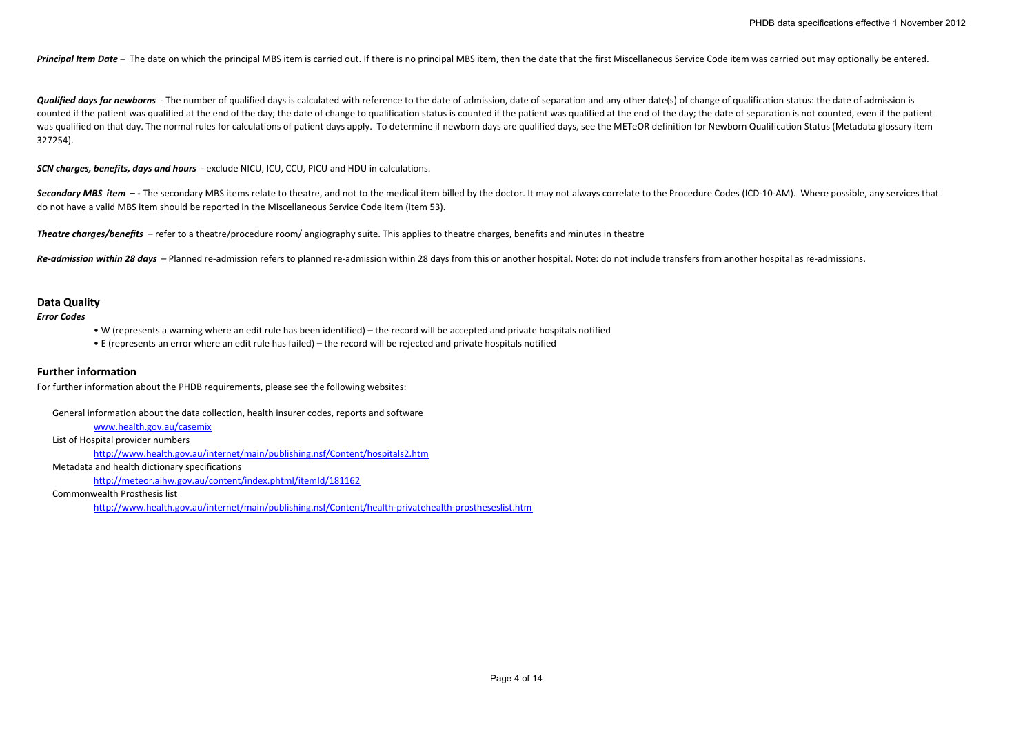Principal Item Date - The date on which the principal MBS item is carried out. If there is no principal MBS item, then the date that the first Miscellaneous Service Code item was carried out may optionally be entered.

Qualified days for newborns - The number of qualified days is calculated with reference to the date of admission, date of separation and any other date(s) of change of qualification status: the date of admission is counted if the patient was qualified at the end of the day; the date of change to qualification status is counted if the patient was qualified at the end of the day; the date of separation is not counted, even if the patie was qualified on that day. The normal rules for calculations of patient days apply. To determine if newborn days are qualified days, see the METeOR definition for Newborn Qualification Status (Metadata glossary item 327254).

*SCN charges, benefits, days and hours* ‐ exclude NICU, ICU, CCU, PICU and HDU in calculations.

Secondary MBS item -- The secondary MBS items relate to theatre, and not to the medical item billed by the doctor. It may not always correlate to the Procedure Codes (ICD-10-AM). Where possible, any services that do not have <sup>a</sup> valid MBS item should be reported in the Miscellaneous Service Code item (item 53).

*Theatre charges/benefits* – refer to <sup>a</sup> theatre/procedure room/ angiography suite. This applies to theatre charges, benefits and minutes in theatre

Re-admission within 28 days - Planned re-admission refers to planned re-admission within 28 days from this or another hospital. Note: do not include transfers from another hospital as re-admissions.

## **Data Quality**

#### *Error Codes*

• W (represents <sup>a</sup> warning where an edit rule has been identified) – the record will be accepted and private hospitals notified

• E (represents an error where an edit rule has failed) – the record will be rejected and private hospitals notified

## **Further information**

For further information about the PHDB requirements, please see the following websites:

General information about the data collection, health insurer codes, reports and software

[www.health.gov.au/casemix](http://www.health.gov.au/casemix)

List of Hospital provider numbers

<http://www.health.gov.au/internet/main/publishing.nsf/Content/hospitals2.htm>

Metadata and health dictionary specifications

<http://meteor.aihw.gov.au/content/index.phtml/itemId/181162>

Commonwealth Prosthesis list

http://www.health.gov.au/internet/main/publishing.nsf/Content/health‐privatehealth‐prostheseslist.htm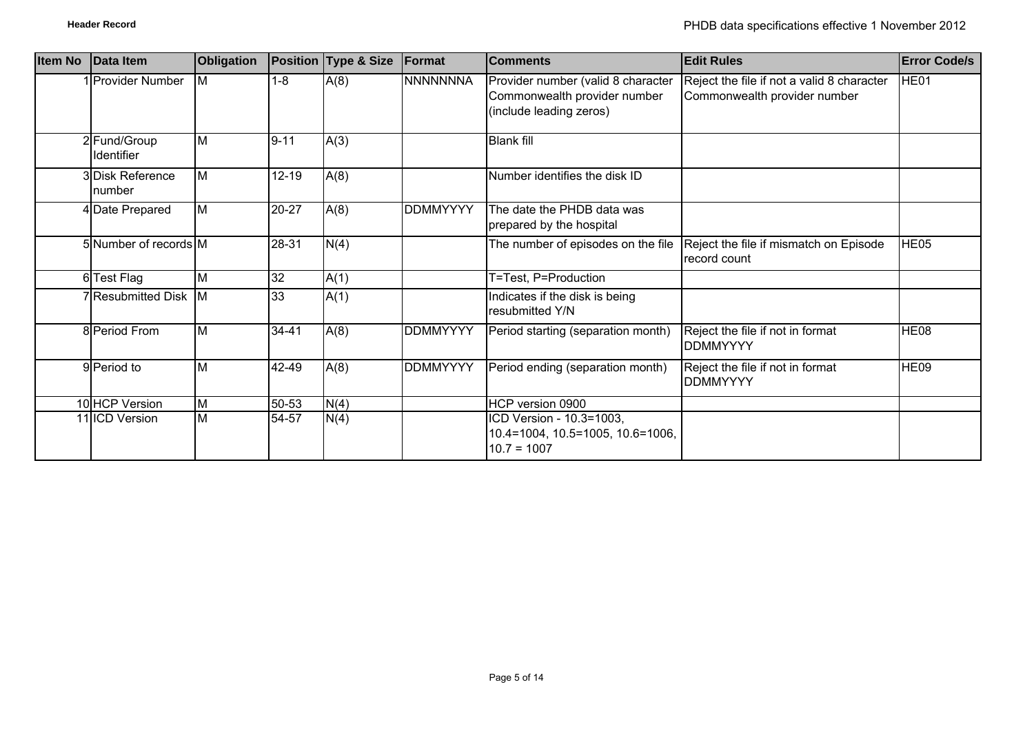| <b>Item No</b> | Data Item                  | Obligation     |           | Position Type & Size | Format          | <b>Comments</b>                                                                               | <b>Edit Rules</b>                                                          | <b>Error Code/s</b> |
|----------------|----------------------------|----------------|-----------|----------------------|-----------------|-----------------------------------------------------------------------------------------------|----------------------------------------------------------------------------|---------------------|
|                | 1 Provider Number          | IM.            | $1 - 8$   | A(8)                 | <b>NNNNNNNA</b> | Provider number (valid 8 character<br>Commonwealth provider number<br>(include leading zeros) | Reject the file if not a valid 8 character<br>Commonwealth provider number | HE01                |
|                | 2 Fund/Group<br>Identifier | M              | $9 - 11$  | A(3)                 |                 | <b>Blank fill</b>                                                                             |                                                                            |                     |
|                | 3 Disk Reference<br>number | $\overline{M}$ | $12 - 19$ | A(8)                 |                 | Number identifies the disk ID                                                                 |                                                                            |                     |
|                | 4 Date Prepared            | <b>M</b>       | 20-27     | A(8)                 | <b>DDMMYYYY</b> | The date the PHDB data was<br>prepared by the hospital                                        |                                                                            |                     |
|                | 5 Number of records M      |                | 28-31     | N(4)                 |                 | The number of episodes on the file                                                            | Reject the file if mismatch on Episode<br>record count                     | HE05                |
|                | 6 Test Flag                | M              | 32        | A(1)                 |                 | T=Test, P=Production                                                                          |                                                                            |                     |
|                | 7 Resubmitted Disk M       |                | 33        | A(1)                 |                 | Indicates if the disk is being<br>resubmitted Y/N                                             |                                                                            |                     |
|                | 8 Period From              | M              | 34-41     | A(8)                 | <b>DDMMYYYY</b> | Period starting (separation month)                                                            | Reject the file if not in format<br><b>DDMMYYYY</b>                        | HE08                |
|                | 9 Period to                | ΙM             | 42-49     | A(8)                 | DDMMYYYY        | Period ending (separation month)                                                              | Reject the file if not in format<br><b>DDMMYYYY</b>                        | HE09                |
|                | 10 HCP Version             | M              | 50-53     | N(4)                 |                 | HCP version 0900                                                                              |                                                                            |                     |
|                | 11 ICD Version             | M              | 54-57     | N(4)                 |                 | ICD Version - 10.3=1003,<br>10.4=1004, 10.5=1005, 10.6=1006,<br>$10.7 = 1007$                 |                                                                            |                     |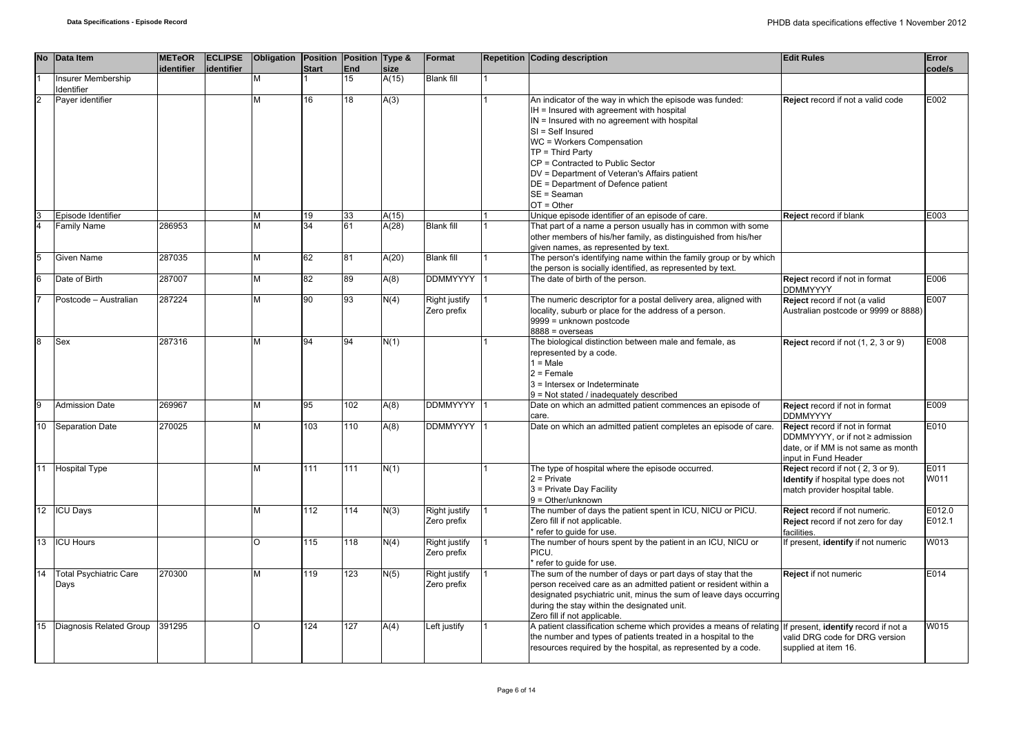|          | No Data Item                          | <b>METeOR</b><br>identifier | <b>ECLIPSE</b><br>lidentifier | Obligation Position Position Type & | <b>Start</b> | <b>End</b> | size  | Format                              | <b>Repetition Coding description</b>                                                                                                                                                                                                                                                                                                                                                   | <b>Edit Rules</b>                                                                                                                | Error<br>code/s  |
|----------|---------------------------------------|-----------------------------|-------------------------------|-------------------------------------|--------------|------------|-------|-------------------------------------|----------------------------------------------------------------------------------------------------------------------------------------------------------------------------------------------------------------------------------------------------------------------------------------------------------------------------------------------------------------------------------------|----------------------------------------------------------------------------------------------------------------------------------|------------------|
|          | Insurer Membership<br>Identifier      |                             |                               | M                                   |              | 15         | A(15) | <b>Blank fill</b>                   |                                                                                                                                                                                                                                                                                                                                                                                        |                                                                                                                                  |                  |
|          | Payer identifier                      |                             |                               | M                                   | 16           | 18         | A(3)  |                                     | An indicator of the way in which the episode was funded:<br>IH = Insured with agreement with hospital<br>IN = Insured with no agreement with hospital<br>SI = Self Insured<br>WC = Workers Compensation<br>$TP = Third Party$<br>CP = Contracted to Public Sector<br>DV = Department of Veteran's Affairs patient<br>DE = Department of Defence patient<br>SE = Seaman<br>$OT = Other$ | Reject record if not a valid code                                                                                                | E002             |
|          | Episode Identifier                    |                             |                               | M                                   | 19           | 33         | A(15) |                                     | Unique episode identifier of an episode of care.                                                                                                                                                                                                                                                                                                                                       | Reject record if blank                                                                                                           | E003             |
|          | Family Name                           | 286953                      |                               | M                                   | 34           | 61         | A(28) | <b>Blank fill</b>                   | That part of a name a person usually has in common with some<br>other members of his/her family, as distinguished from his/her<br>given names, as represented by text.                                                                                                                                                                                                                 |                                                                                                                                  |                  |
|          | Given Name                            | 287035                      |                               | M                                   | 62           | 81         | A(20) | <b>Blank fill</b>                   | The person's identifying name within the family group or by which<br>the person is socially identified, as represented by text.                                                                                                                                                                                                                                                        |                                                                                                                                  |                  |
|          | Date of Birth                         | 287007                      |                               | M                                   | 82           | 89         | A(8)  | DDMMYYYY                            | The date of birth of the person.                                                                                                                                                                                                                                                                                                                                                       | Reject record if not in format<br><b>DDMMYYYY</b>                                                                                | E006             |
|          | Postcode - Australian                 | 287224                      |                               | M                                   | 90           | 93         | N(4)  | <b>Right justify</b><br>Zero prefix | The numeric descriptor for a postal delivery area, aligned with<br>locality, suburb or place for the address of a person.<br>9999 = unknown postcode<br>$8888 = 0$ verseas                                                                                                                                                                                                             | Reject record if not (a valid<br>Australian postcode or 9999 or 8888)                                                            | E007             |
| <b>R</b> | Sex                                   | 287316                      |                               | M                                   | 94           | 94         | N(1)  |                                     | The biological distinction between male and female, as<br>represented by a code.<br>$1 = Male$<br>$2 =$ Female<br>3 = Intersex or Indeterminate<br>9 = Not stated / inadequately described                                                                                                                                                                                             | Reject record if not (1, 2, 3 or 9)                                                                                              | E008             |
| 9        | <b>Admission Date</b>                 | 269967                      |                               | M                                   | 95           | 102        | A(8)  | DDMMYYYY                            | Date on which an admitted patient commences an episode of<br>care.                                                                                                                                                                                                                                                                                                                     | Reject record if not in format<br><b>DDMMYYYY</b>                                                                                | E009             |
| 10       | <b>Separation Date</b>                | 270025                      |                               | M                                   | 103          | 110        | A(8)  | DDMMYYYY                            | Date on which an admitted patient completes an episode of care.                                                                                                                                                                                                                                                                                                                        | Reject record if not in format<br>DDMMYYYY, or if not ≥ admission<br>date, or if MM is not same as month<br>input in Fund Header | E010             |
|          | 11 Hospital Type                      |                             |                               | M                                   | 111          | 111        | N(1)  |                                     | The type of hospital where the episode occurred.<br>$2$ = Private<br>3 = Private Day Facility<br>$9 = Other/unknown$                                                                                                                                                                                                                                                                   | Reject record if not (2, 3 or 9).<br>Identify if hospital type does not<br>match provider hospital table.                        | E011<br>W011     |
|          | 12 ICU Days                           |                             |                               | M                                   | 112          | 114        | N(3)  | Right justify<br>Zero prefix        | The number of days the patient spent in ICU, NICU or PICU.<br>Zero fill if not applicable.<br>* refer to quide for use.                                                                                                                                                                                                                                                                | Reject record if not numeric.<br>Reject record if not zero for day<br>facilities.                                                | E012.0<br>E012.1 |
| 13       | <b>ICU Hours</b>                      |                             |                               | $\circ$                             | 115          | 118        | N(4)  | Right justify<br>Zero prefix        | The number of hours spent by the patient in an ICU, NICU or<br>PICU.<br>* refer to guide for use.                                                                                                                                                                                                                                                                                      | f present, identify if not numeric                                                                                               | W013             |
| 14       | <b>Total Psychiatric Care</b><br>Days | 270300                      |                               | M                                   | 119          | 123        | N(5)  | Right justify<br>Zero prefix        | The sum of the number of days or part days of stay that the<br>person received care as an admitted patient or resident within a<br>designated psychiatric unit, minus the sum of leave days occurring<br>during the stay within the designated unit.<br>Zero fill if not applicable.                                                                                                   | Reject if not numeric                                                                                                            | E014             |
|          | 15   Diagnosis Related Group          | 391295                      |                               | $\Omega$                            | 124          | 127        | A(4)  | Left justify                        | A patient classification scheme which provides a means of relating If present, identify record if not a<br>the number and types of patients treated in a hospital to the<br>resources required by the hospital, as represented by a code.                                                                                                                                              | valid DRG code for DRG version<br>supplied at item 16.                                                                           | W015             |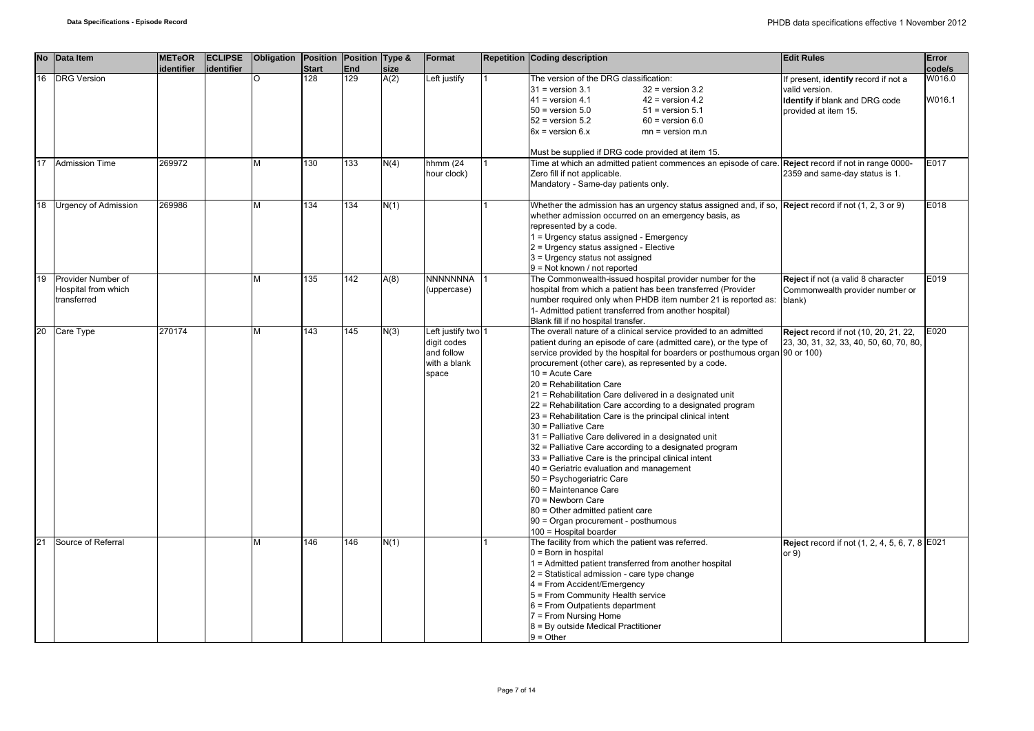| <b>No</b> | Data Item                                                | <b>METeOR</b><br>identifier | <b>ECLIPSE</b><br>identifier | Obligation Position Position Type & | <b>Start</b> | End | size | Format                                                                   | <b>Repetition Coding description</b>                                                                                                                                                                                                                                                                                                                                                                                                                                                                                                                                                                                                                                                                                                                                                                                                                                                                                                              | <b>Edit Rules</b>                                                                                                | Error<br>code/s  |
|-----------|----------------------------------------------------------|-----------------------------|------------------------------|-------------------------------------|--------------|-----|------|--------------------------------------------------------------------------|---------------------------------------------------------------------------------------------------------------------------------------------------------------------------------------------------------------------------------------------------------------------------------------------------------------------------------------------------------------------------------------------------------------------------------------------------------------------------------------------------------------------------------------------------------------------------------------------------------------------------------------------------------------------------------------------------------------------------------------------------------------------------------------------------------------------------------------------------------------------------------------------------------------------------------------------------|------------------------------------------------------------------------------------------------------------------|------------------|
| 16        | <b>DRG</b> Version                                       |                             |                              | $\circ$                             | 128          | 129 | A(2) | Left justify                                                             | The version of the DRG classification:<br>$31$ = version 3.1<br>$32$ = version $3.2$<br>$41$ = version 4.1<br>$42$ = version 4.2<br>$50$ = version $5.0$<br>$51$ = version $5.1$<br>$52$ = version $5.2$<br>$60$ = version $6.0$<br>$6x =$ version $6.x$<br>$mn = version m.n$<br>Must be supplied if DRG code provided at item 15.                                                                                                                                                                                                                                                                                                                                                                                                                                                                                                                                                                                                               | If present, identify record if not a<br>valid version.<br>Identify if blank and DRG code<br>provided at item 15. | W016.0<br>W016.1 |
| 17        | <b>Admission Time</b>                                    | 269972                      |                              | M                                   | 130          | 133 | N(4) | hhmm (24<br>hour clock)                                                  | Time at which an admitted patient commences an episode of care. Reject record if not in range 0000-<br>Zero fill if not applicable.<br>Mandatory - Same-day patients only.                                                                                                                                                                                                                                                                                                                                                                                                                                                                                                                                                                                                                                                                                                                                                                        | 2359 and same-day status is 1.                                                                                   | E017             |
| 18        | <b>Urgency of Admission</b>                              | 269986                      |                              | M                                   | 134          | 134 | N(1) |                                                                          | Whether the admission has an urgency status assigned and, if so, $\sqrt{\text{Reject } }$ record if not (1, 2, 3 or 9)<br>whether admission occurred on an emergency basis, as<br>represented by a code.<br>1 = Urgency status assigned - Emergency<br>2 = Urgency status assigned - Elective<br>3 = Urgency status not assigned<br>9 = Not known / not reported                                                                                                                                                                                                                                                                                                                                                                                                                                                                                                                                                                                  |                                                                                                                  | E018             |
| 19        | Provider Number of<br>Hospital from which<br>transferred |                             |                              | M                                   | 135          | 142 | A(8) | NNNNNNNA<br>(uppercase)                                                  | The Commonwealth-issued hospital provider number for the<br>hospital from which a patient has been transferred (Provider<br>number required only when PHDB item number 21 is reported as: blank)<br>1- Admitted patient transferred from another hospital)<br>Blank fill if no hospital transfer.                                                                                                                                                                                                                                                                                                                                                                                                                                                                                                                                                                                                                                                 | Reject if not (a valid 8 character<br>Commonwealth provider number or                                            | E019             |
|           | 20 Care Type                                             | 270174                      |                              | M                                   | 143          | 145 | N(3) | Left justify two 1<br>digit codes<br>and follow<br>with a blank<br>space | The overall nature of a clinical service provided to an admitted<br>patient during an episode of care (admitted care), or the type of<br>service provided by the hospital for boarders or posthumous organ 90 or 100)<br>procurement (other care), as represented by a code.<br>$10 = Acute Care$<br>20 = Rehabilitation Care<br>21 = Rehabilitation Care delivered in a designated unit<br>22 = Rehabilitation Care according to a designated program<br>23 = Rehabilitation Care is the principal clinical intent<br>30 = Palliative Care<br>31 = Palliative Care delivered in a designated unit<br>32 = Palliative Care according to a designated program<br>33 = Palliative Care is the principal clinical intent<br>40 = Geriatric evaluation and management<br>50 = Psychogeriatric Care<br>60 = Maintenance Care<br>70 = Newborn Care<br>80 = Other admitted patient care<br>90 = Organ procurement - posthumous<br>100 = Hospital boarder | Reject record if not (10, 20, 21, 22,<br>23, 30, 31, 32, 33, 40, 50, 60, 70, 80,                                 | E020             |
| 21        | Source of Referral                                       |                             |                              | M                                   | 146          | 146 | N(1) |                                                                          | The facility from which the patient was referred.<br>$0 =$ Born in hospital<br>1 = Admitted patient transferred from another hospital<br>2 = Statistical admission - care type change<br>4 = From Accident/Emergency<br>5 = From Community Health service<br>6 = From Outpatients department<br>7 = From Nursing Home<br>8 = By outside Medical Practitioner<br>$9 =$ Other                                                                                                                                                                                                                                                                                                                                                                                                                                                                                                                                                                       | <b>Reject</b> record if not (1, 2, 4, 5, 6, 7, 8 E021<br>or $9)$                                                 |                  |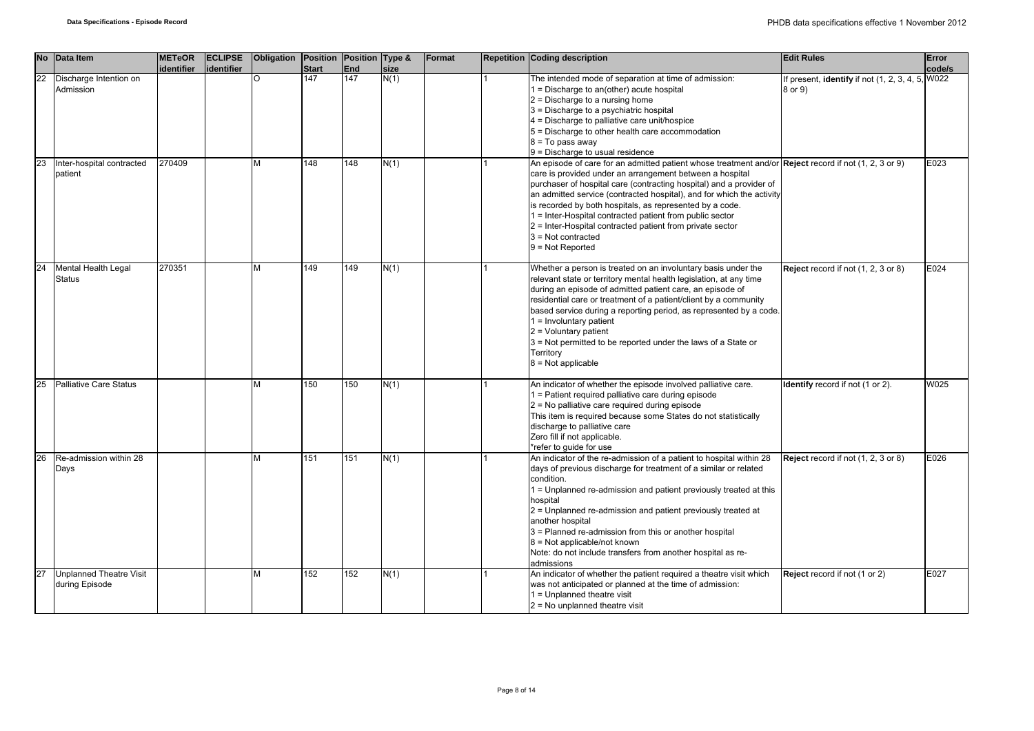| <b>No</b> | Data Item                                        | <b>METeOR</b><br>identifier | <b>ECLIPSE</b><br>lidentifier | Obligation | Position Position Type &<br><b>Start</b> | <b>End</b> | size | Format | <b>Repetition Coding description</b>                                                                                                                                                                                                                                                                                                                                                                                                                                                                                                                 | <b>Edit Rules</b>                                           | Error<br>code/s |
|-----------|--------------------------------------------------|-----------------------------|-------------------------------|------------|------------------------------------------|------------|------|--------|------------------------------------------------------------------------------------------------------------------------------------------------------------------------------------------------------------------------------------------------------------------------------------------------------------------------------------------------------------------------------------------------------------------------------------------------------------------------------------------------------------------------------------------------------|-------------------------------------------------------------|-----------------|
| 22        | Discharge Intention on<br>Admission              |                             |                               | $\Omega$   | 147                                      | 147        | N(1) |        | The intended mode of separation at time of admission:<br>$1 =$ Discharge to an(other) acute hospital<br>$2$ = Discharge to a nursing home<br>3 = Discharge to a psychiatric hospital<br>4 = Discharge to palliative care unit/hospice<br>5 = Discharge to other health care accommodation<br>$8 = To pass away$<br>$9$ = Discharge to usual residence                                                                                                                                                                                                | If present, identify if not (1, 2, 3, 4, 5, W022<br>8 or 9) |                 |
| 23        | Inter-hospital contracted<br>patient             | 270409                      |                               | М          | 148                                      | 148        | N(1) |        | An episode of care for an admitted patient whose treatment and/or Reject record if not (1, 2, 3 or 9)<br>care is provided under an arrangement between a hospital<br>purchaser of hospital care (contracting hospital) and a provider of<br>an admitted service (contracted hospital), and for which the activity<br>is recorded by both hospitals, as represented by a code.<br>1 = Inter-Hospital contracted patient from public sector<br>2 = Inter-Hospital contracted patient from private sector<br>$3$ = Not contracted<br>$9 = Not Reported$ |                                                             | E023            |
| 24        | Mental Health Legal<br><b>Status</b>             | 270351                      |                               | м          | 149                                      | 149        | N(1) |        | Whether a person is treated on an involuntary basis under the<br>relevant state or territory mental health legislation, at any time<br>during an episode of admitted patient care, an episode of<br>residential care or treatment of a patient/client by a community<br>based service during a reporting period, as represented by a code.<br>$1 =$ Involuntary patient<br>2 = Voluntary patient<br>3 = Not permitted to be reported under the laws of a State or<br>Territory<br>$8 = Not applicable$                                               | Reject record if not (1, 2, 3 or 8)                         | E024            |
| 25        | <b>Palliative Care Status</b>                    |                             |                               | М          | 150                                      | 150        | N(1) |        | An indicator of whether the episode involved palliative care.<br>1 = Patient required palliative care during episode<br>2 = No palliative care required during episode<br>This item is required because some States do not statistically<br>discharge to palliative care<br>Zero fill if not applicable.<br>*refer to guide for use                                                                                                                                                                                                                  | <b>Identify</b> record if not (1 or 2).                     | W025            |
| 26        | Re-admission within 28<br>Days                   |                             |                               | М          | 151                                      | 151        | N(1) |        | An indicator of the re-admission of a patient to hospital within 28<br>days of previous discharge for treatment of a similar or related<br>condition.<br>1 = Unplanned re-admission and patient previously treated at this<br>hospital<br>2 = Unplanned re-admission and patient previously treated at<br>another hospital<br>3 = Planned re-admission from this or another hospital<br>$8$ = Not applicable/not known<br>Note: do not include transfers from another hospital as re-<br>admissions                                                  | Reject record if not (1, 2, 3 or 8)                         | E026            |
| 27        | <b>Unplanned Theatre Visit</b><br>during Episode |                             |                               | М          | 152                                      | 152        | N(1) |        | An indicator of whether the patient required a theatre visit which<br>was not anticipated or planned at the time of admission:<br>$1 =$ Unplanned theatre visit<br>$2$ = No unplanned theatre visit                                                                                                                                                                                                                                                                                                                                                  | Reject record if not (1 or 2)                               | E027            |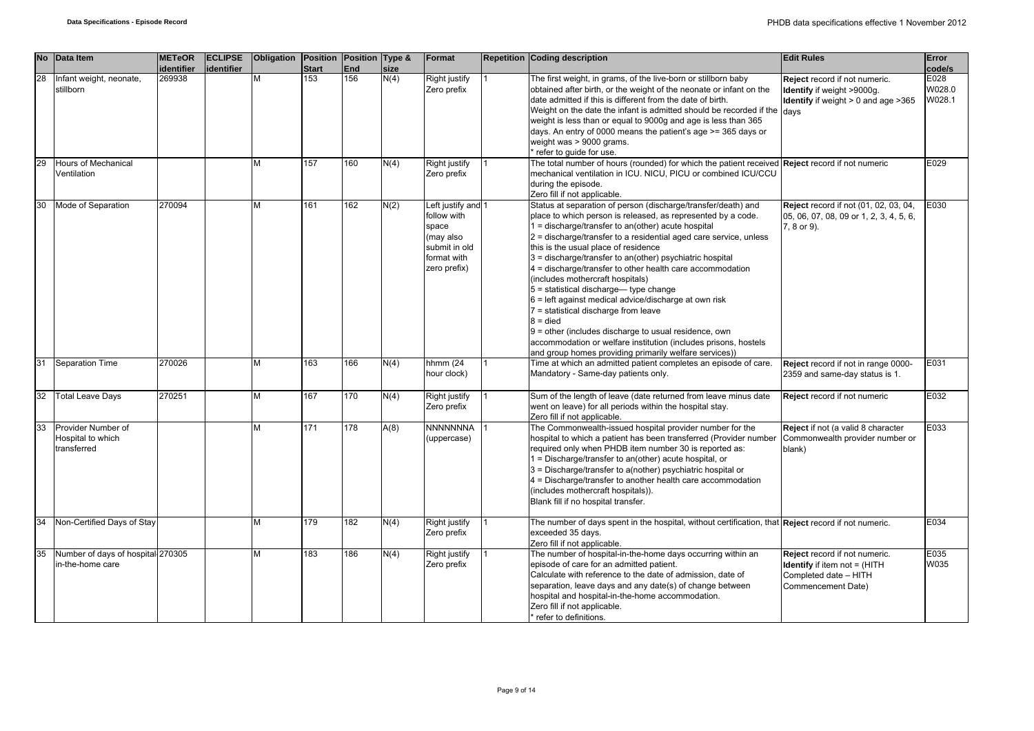|    | No Data Item                                           | <b>METeOR</b><br>identifier | <b>ECLIPSE</b><br>identifier | Obligation Position Position Type & | <b>Start</b> | <b>End</b> | size | Format                                                                                                  | <b>Repetition Coding description</b>                                                                                                                                                                                                                                                                                                                                                                                                                                                                                                                                                                                                                                                                                                                                                                                   | <b>Edit Rules</b>                                                                                                   | Error<br>code/s          |
|----|--------------------------------------------------------|-----------------------------|------------------------------|-------------------------------------|--------------|------------|------|---------------------------------------------------------------------------------------------------------|------------------------------------------------------------------------------------------------------------------------------------------------------------------------------------------------------------------------------------------------------------------------------------------------------------------------------------------------------------------------------------------------------------------------------------------------------------------------------------------------------------------------------------------------------------------------------------------------------------------------------------------------------------------------------------------------------------------------------------------------------------------------------------------------------------------------|---------------------------------------------------------------------------------------------------------------------|--------------------------|
| 28 | Infant weight, neonate,<br>stillborn                   | 269938                      |                              | M                                   | 153          | 156        | N(4) | Right justify<br>Zero prefix                                                                            | The first weight, in grams, of the live-born or stillborn baby<br>obtained after birth, or the weight of the neonate or infant on the<br>date admitted if this is different from the date of birth.<br>Weight on the date the infant is admitted should be recorded if the days<br>weight is less than or equal to 9000g and age is less than 365<br>days. An entry of 0000 means the patient's age >= 365 days or<br>weight was > 9000 grams.<br>refer to guide for use.                                                                                                                                                                                                                                                                                                                                              | Reject record if not numeric.<br>Identify if weight >9000g.<br><b>Identify</b> if weight $> 0$ and age $>365$       | E028<br>W028.0<br>W028.1 |
|    | Hours of Mechanical<br>Ventilation                     |                             |                              | M                                   | 157          | 160        | N(4) | <b>Right justify</b><br>Zero prefix                                                                     | The total number of hours (rounded) for which the patient received Reject record if not numeric<br>mechanical ventilation in ICU. NICU, PICU or combined ICU/CCU<br>during the episode.<br>Zero fill if not applicable.                                                                                                                                                                                                                                                                                                                                                                                                                                                                                                                                                                                                |                                                                                                                     | E029                     |
| 30 | Mode of Separation                                     | 270094                      |                              | M                                   | 161          | 162        | N(2) | Left justify and 1<br>follow with<br>space<br>(may also<br>submit in old<br>format with<br>zero prefix) | Status at separation of person (discharge/transfer/death) and<br>place to which person is released, as represented by a code.<br>$1 =$ discharge/transfer to an(other) acute hospital<br>$2$ = discharge/transfer to a residential aged care service, unless<br>this is the usual place of residence<br>3 = discharge/transfer to an(other) psychiatric hospital<br>4 = discharge/transfer to other health care accommodation<br>(includes mothercraft hospitals)<br>$5 =$ statistical discharge— type change<br>$6$ = left against medical advice/discharge at own risk<br>7 = statistical discharge from leave<br>$8 =$ died<br>$9$ = other (includes discharge to usual residence, own<br>accommodation or welfare institution (includes prisons, hostels<br>and group homes providing primarily welfare services)) | Reject record if not (01, 02, 03, 04,<br>05, 06, 07, 08, 09 or 1, 2, 3, 4, 5, 6,<br>7, 8 or 9).                     | E030                     |
| 31 | Separation Time                                        | 270026                      |                              | M                                   | 163          | 166        | N(4) | hhmm $(24)$<br>hour clock)                                                                              | Time at which an admitted patient completes an episode of care.<br>Mandatory - Same-day patients only.                                                                                                                                                                                                                                                                                                                                                                                                                                                                                                                                                                                                                                                                                                                 | Reject record if not in range 0000-<br>2359 and same-day status is 1.                                               | E031                     |
| 32 | <b>Total Leave Days</b>                                | 270251                      |                              | M                                   | 167          | 170        | N(4) | Right justify<br>Zero prefix                                                                            | Sum of the length of leave (date returned from leave minus date<br>went on leave) for all periods within the hospital stay.<br>Zero fill if not applicable.                                                                                                                                                                                                                                                                                                                                                                                                                                                                                                                                                                                                                                                            | Reject record if not numeric                                                                                        | E032                     |
| 33 | Provider Number of<br>Hospital to which<br>transferred |                             |                              | M                                   | 171          | 178        | A(8) | NNNNNNNA<br>(uppercase)                                                                                 | The Commonwealth-issued hospital provider number for the<br>hospital to which a patient has been transferred (Provider number<br>required only when PHDB item number 30 is reported as:<br>1 = Discharge/transfer to an(other) acute hospital, or<br>3 = Discharge/transfer to a(nother) psychiatric hospital or<br>4 = Discharge/transfer to another health care accommodation<br>(includes mothercraft hospitals)).<br>Blank fill if no hospital transfer.                                                                                                                                                                                                                                                                                                                                                           | Reject if not (a valid 8 character<br>Commonwealth provider number or<br>blank)                                     | E033                     |
| 34 | Non-Certified Days of Stay                             |                             |                              | M                                   | 179          | 182        | N(4) | Right justify<br>Zero prefix                                                                            | The number of days spent in the hospital, without certification, that Reject record if not numeric.<br>exceeded 35 days.<br>Zero fill if not applicable.                                                                                                                                                                                                                                                                                                                                                                                                                                                                                                                                                                                                                                                               |                                                                                                                     | E034                     |
| 35 | Number of days of hospital 270305<br>in-the-home care  |                             |                              | M                                   | 183          | 186        | N(4) | Right justify<br>Zero prefix                                                                            | The number of hospital-in-the-home days occurring within an<br>episode of care for an admitted patient.<br>Calculate with reference to the date of admission, date of<br>separation, leave days and any date(s) of change between<br>hospital and hospital-in-the-home accommodation.<br>Zero fill if not applicable.<br>* refer to definitions                                                                                                                                                                                                                                                                                                                                                                                                                                                                        | Reject record if not numeric.<br><b>Identify</b> if item not = (HITH<br>Completed date - HITH<br>Commencement Date) | E035<br>W035             |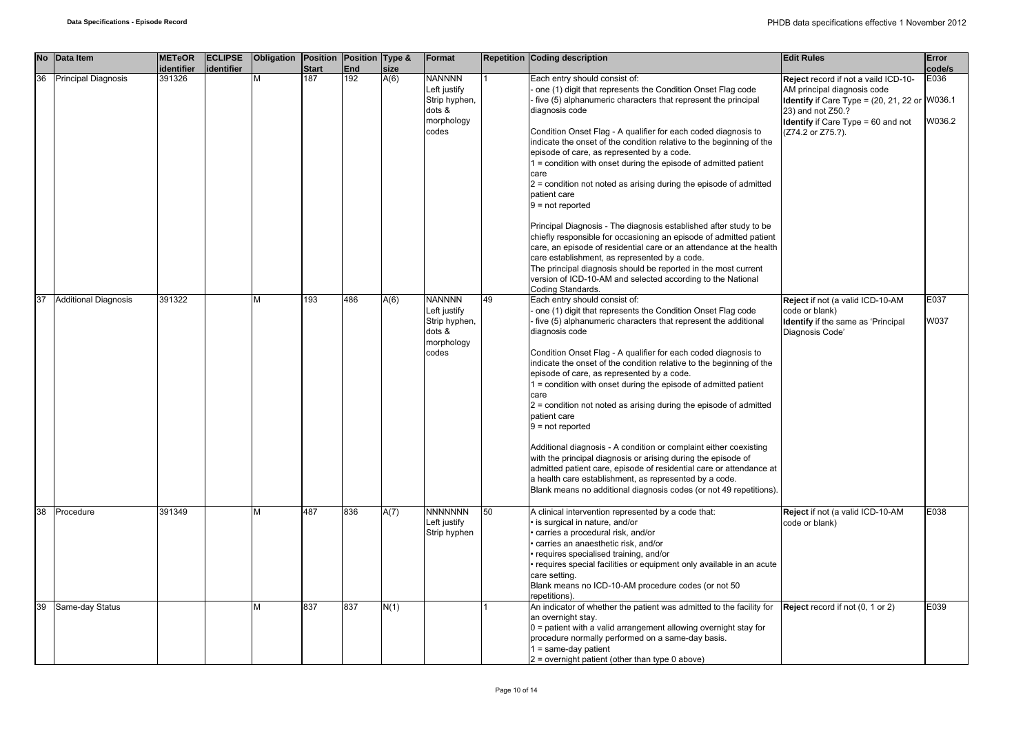|    | No Data Item                | <b>METeOR</b><br>identifier | <b>ECLIPSE</b><br>identifier | Obligation Position Position Type & | <b>Start</b> | <b>End</b> | size | Format                                                                          |    | <b>Repetition Coding description</b>                                                                                                                                                                                                                                                                                                                                                                                                                                                                                                                                                                                                                                                                                                                                                                                                                                                                                                                                                   | <b>Edit Rules</b>                                                                                                                                                                                                     | Error<br>code/s |
|----|-----------------------------|-----------------------------|------------------------------|-------------------------------------|--------------|------------|------|---------------------------------------------------------------------------------|----|----------------------------------------------------------------------------------------------------------------------------------------------------------------------------------------------------------------------------------------------------------------------------------------------------------------------------------------------------------------------------------------------------------------------------------------------------------------------------------------------------------------------------------------------------------------------------------------------------------------------------------------------------------------------------------------------------------------------------------------------------------------------------------------------------------------------------------------------------------------------------------------------------------------------------------------------------------------------------------------|-----------------------------------------------------------------------------------------------------------------------------------------------------------------------------------------------------------------------|-----------------|
| 36 | <b>Principal Diagnosis</b>  | 391326                      |                              | M                                   | 187          | 192        | A(6) | <b>NANNNN</b><br>Left justify<br>Strip hyphen,<br>dots &<br>morphology<br>codes |    | Each entry should consist of:<br>one (1) digit that represents the Condition Onset Flag code<br>five (5) alphanumeric characters that represent the principal<br>diagnosis code<br>Condition Onset Flag - A qualifier for each coded diagnosis to<br>indicate the onset of the condition relative to the beginning of the<br>episode of care, as represented by a code.<br>1 = condition with onset during the episode of admitted patient<br>care<br>2 = condition not noted as arising during the episode of admitted<br>patient care<br>$9 = not reported$<br>Principal Diagnosis - The diagnosis established after study to be<br>chiefly responsible for occasioning an episode of admitted patient<br>care, an episode of residential care or an attendance at the health<br>care establishment, as represented by a code.<br>The principal diagnosis should be reported in the most current<br>version of ICD-10-AM and selected according to the National<br>Coding Standards. | Reject record if not a vaild ICD-10-<br>AM principal diagnosis code<br><b>Identify</b> if Care Type = $(20, 21, 22)$ or W036.1<br>23) and not Z50.?<br><b>Identify</b> if Care Type = 60 and not<br>(Z74.2 or Z75.?). | E036<br>W036.2  |
| 37 | <b>Additional Diagnosis</b> | 391322                      |                              | M                                   | 193          | 486        | A(6) | <b>NANNNN</b><br>Left justify<br>Strip hyphen,<br>dots &<br>morphology<br>codes | 49 | Each entry should consist of:<br>one (1) digit that represents the Condition Onset Flag code<br>five (5) alphanumeric characters that represent the additional<br>diagnosis code<br>Condition Onset Flag - A qualifier for each coded diagnosis to<br>indicate the onset of the condition relative to the beginning of the<br>episode of care, as represented by a code.<br>1 = condition with onset during the episode of admitted patient<br>care<br>2 = condition not noted as arising during the episode of admitted<br>patient care<br>$9 = not reported$<br>Additional diagnosis - A condition or complaint either coexisting<br>with the principal diagnosis or arising during the episode of<br>admitted patient care, episode of residential care or attendance at<br>a health care establishment, as represented by a code.<br>Blank means no additional diagnosis codes (or not 49 repetitions).                                                                            | Reject if not (a valid ICD-10-AM<br>code or blank)<br><b>Identify</b> if the same as 'Principal<br>Diagnosis Code'                                                                                                    | E037<br>W037    |
| 38 | Procedure                   | 391349                      |                              | M                                   | 487          | 836        | A(7) | <b>NNNNNNN</b><br>Left justify<br>Strip hyphen                                  | 50 | A clinical intervention represented by a code that:<br>is surgical in nature, and/or<br>carries a procedural risk, and/or<br>carries an anaesthetic risk, and/or<br>requires specialised training, and/or<br>requires special facilities or equipment only available in an acute<br>care setting.<br>Blank means no ICD-10-AM procedure codes (or not 50<br>repetitions)                                                                                                                                                                                                                                                                                                                                                                                                                                                                                                                                                                                                               | Reject if not (a valid ICD-10-AM<br>code or blank)                                                                                                                                                                    | E038            |
| 39 | Same-day Status             |                             |                              | M                                   | 837          | 837        | N(1) |                                                                                 |    | An indicator of whether the patient was admitted to the facility for<br>an overnight stay.<br>$0 =$ patient with a valid arrangement allowing overnight stay for<br>procedure normally performed on a same-day basis.<br>$1 = same-day patient$<br>$2$ = overnight patient (other than type 0 above)                                                                                                                                                                                                                                                                                                                                                                                                                                                                                                                                                                                                                                                                                   | Reject record if not (0, 1 or 2)                                                                                                                                                                                      | E039            |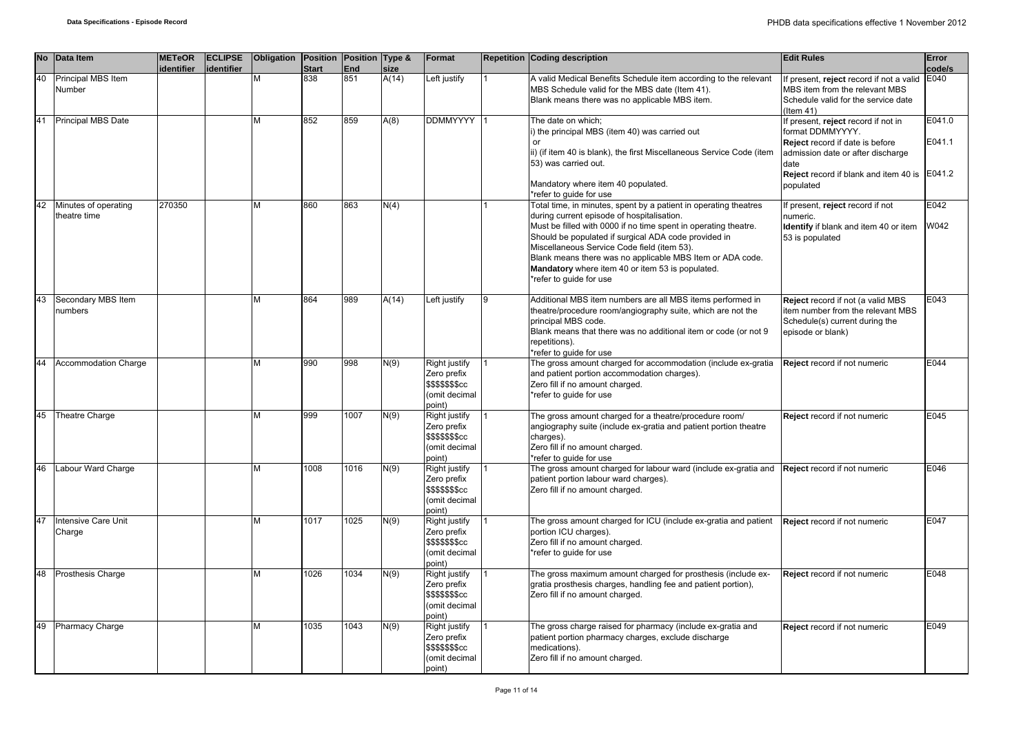|    | No Data Item                         | <b>METeOR</b><br>identifier | <b>ECLIPSE</b><br>identifier | Obligation Position Position Type & | <b>Start</b> | End  | size  | Format                                                                                  | <b>Repetition Coding description</b>                                                                                                                                                                                                                                                                                                                                                                                                 | <b>Edit Rules</b>                                                                                                                              | Error<br>code/s  |
|----|--------------------------------------|-----------------------------|------------------------------|-------------------------------------|--------------|------|-------|-----------------------------------------------------------------------------------------|--------------------------------------------------------------------------------------------------------------------------------------------------------------------------------------------------------------------------------------------------------------------------------------------------------------------------------------------------------------------------------------------------------------------------------------|------------------------------------------------------------------------------------------------------------------------------------------------|------------------|
| 40 | Principal MBS Item<br>Number         |                             |                              |                                     | 838          | 851  | A(14) | Left justify                                                                            | A valid Medical Benefits Schedule item according to the relevant<br>MBS Schedule valid for the MBS date (Item 41).<br>Blank means there was no applicable MBS item.                                                                                                                                                                                                                                                                  | If present, reject record if not a valid<br>MBS item from the relevant MBS<br>Schedule valid for the service date<br>$($ ltem 41)              | E040             |
| 41 | Principal MBS Date                   |                             |                              | М                                   | 852          | 859  | A(8)  | <b>DDMMYYYY</b>                                                                         | The date on which;<br>i) the principal MBS (item 40) was carried out<br>or<br>ii) (if item 40 is blank), the first Miscellaneous Service Code (item<br>53) was carried out.                                                                                                                                                                                                                                                          | If present, reject record if not in<br>format DDMMYYYY.<br><b>Reject</b> record if date is before<br>admission date or after discharge<br>date | E041.0<br>E041.1 |
|    |                                      |                             |                              |                                     |              |      |       |                                                                                         | Mandatory where item 40 populated.<br>*refer to quide for use                                                                                                                                                                                                                                                                                                                                                                        | Reject record if blank and item 40 is<br>populated                                                                                             | E041.2           |
| 42 | Minutes of operating<br>theatre time | 270350                      |                              | М                                   | 860          | 863  | N(4)  |                                                                                         | Total time, in minutes, spent by a patient in operating theatres<br>during current episode of hospitalisation.<br>Must be filled with 0000 if no time spent in operating theatre.<br>Should be populated if surgical ADA code provided in<br>Miscellaneous Service Code field (item 53).<br>Blank means there was no applicable MBS Item or ADA code.<br>Mandatory where item 40 or item 53 is populated.<br>*refer to quide for use | If present, reject record if not<br>numeric.<br>Identify if blank and item 40 or item<br>53 is populated                                       | E042<br>W042     |
| 43 | Secondary MBS Item<br>numbers        |                             |                              |                                     | 864          | 989  | A(14) | eft justify                                                                             | Additional MBS item numbers are all MBS items performed in<br>theatre/procedure room/angiography suite, which are not the<br>principal MBS code.<br>Blank means that there was no additional item or code (or not 9<br>repetitions).<br>*refer to quide for use                                                                                                                                                                      | Reject record if not (a valid MBS<br>item number from the relevant MBS<br>Schedule(s) current during the<br>episode or blank)                  | E043             |
| 44 | Accommodation Charge                 |                             |                              | м                                   | 990          | 998  | N(9)  | Right justify<br>Zero prefix<br>\$\$\$\$\$\$\$cc<br>(omit decimal<br>point)             | The gross amount charged for accommodation (include ex-gratia<br>and patient portion accommodation charges).<br>Zero fill if no amount charged.<br>*refer to guide for use                                                                                                                                                                                                                                                           | Reject record if not numeric                                                                                                                   | E044             |
| 45 | Theatre Charge                       |                             |                              | М                                   | 999          | 1007 | N(9)  | Right justify<br>Zero prefix<br>\$\$\$\$\$\$cc<br>(omit decimal<br>point)               | The gross amount charged for a theatre/procedure room/<br>angiography suite (include ex-gratia and patient portion theatre<br>charges).<br>Zero fill if no amount charged.<br>*refer to quide for use                                                                                                                                                                                                                                | Reject record if not numeric                                                                                                                   | E045             |
| 46 | Labour Ward Charge                   |                             |                              | М                                   | 1008         | 1016 | N(9)  | Right justify<br>Zero prefix<br>\$\$\$\$\$\$\$cc<br>(omit decimal<br>ooint)             | The gross amount charged for labour ward (include ex-gratia and<br>patient portion labour ward charges).<br>Zero fill if no amount charged.                                                                                                                                                                                                                                                                                          | Reject record if not numeric                                                                                                                   | E046             |
| 47 | Intensive Care Unit<br>Charge        |                             |                              | M                                   | 1017         | 1025 | N(9)  | Right justify<br>Zero prefix<br>\$\$\$\$\$\$\$cc<br>(omit decimal<br>point)             | The gross amount charged for ICU (include ex-gratia and patient<br>portion ICU charges).<br>Zero fill if no amount charged.<br>*refer to guide for use                                                                                                                                                                                                                                                                               | Reject record if not numeric                                                                                                                   | E047             |
| 48 | Prosthesis Charge                    |                             |                              | м                                   | 1026         | 1034 | N(9)  | Right justify<br>Zero prefix<br>\$\$\$\$\$\$ <sub>\$cc</sub><br>(omit decimal<br>point) | The gross maximum amount charged for prosthesis (include ex-<br>gratia prosthesis charges, handling fee and patient portion),<br>Zero fill if no amount charged.                                                                                                                                                                                                                                                                     | Reject record if not numeric                                                                                                                   | E048             |
| 49 | <b>Pharmacy Charge</b>               |                             |                              | М                                   | 1035         | 1043 | N(9)  | Right justify<br>Zero prefix<br>\$\$\$\$\$\$\$cc<br>(omit decimal<br>point)             | The gross charge raised for pharmacy (include ex-gratia and<br>patient portion pharmacy charges, exclude discharge<br>medications).<br>Zero fill if no amount charged.                                                                                                                                                                                                                                                               | Reject record if not numeric                                                                                                                   | E049             |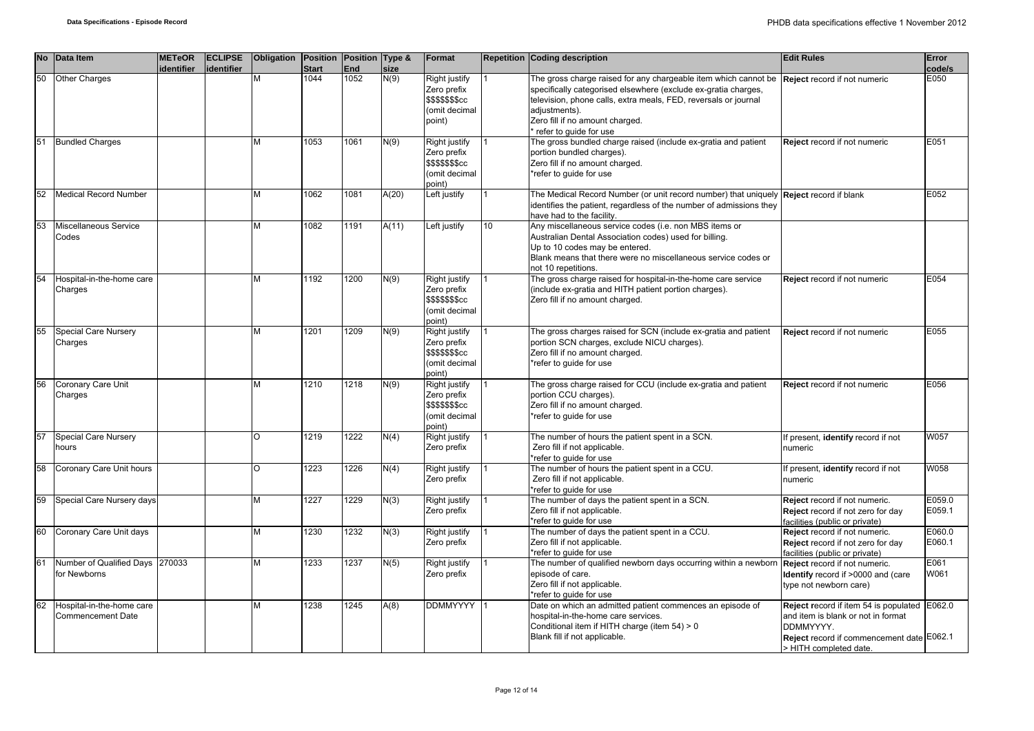|    | No Data Item                                          | <b>METeOR</b><br>identifier | <b>ECLIPSE</b><br>lidentifier | Obligation Position Position Type & | <b>Start</b> | End  | size  | Format                                                                      |    | <b>Repetition Coding description</b>                                                                                                                                                                                                                                                                                   | <b>Edit Rules</b>                                                                                                                                                      | Error<br>code/s  |
|----|-------------------------------------------------------|-----------------------------|-------------------------------|-------------------------------------|--------------|------|-------|-----------------------------------------------------------------------------|----|------------------------------------------------------------------------------------------------------------------------------------------------------------------------------------------------------------------------------------------------------------------------------------------------------------------------|------------------------------------------------------------------------------------------------------------------------------------------------------------------------|------------------|
| 50 | <b>Other Charges</b>                                  |                             |                               | M                                   | 1044         | 1052 | N(9)  | Right justify<br>Zero prefix<br>\$\$\$\$\$\$\$cc<br>(omit decimal<br>point) |    | The gross charge raised for any chargeable item which cannot be <b>Reject</b> record if not numeric<br>specifically categorised elsewhere (exclude ex-gratia charges,<br>television, phone calls, extra meals, FED, reversals or journal<br>adjustments).<br>Zero fill if no amount charged.<br>refer to guide for use |                                                                                                                                                                        | E050             |
| 51 | <b>Bundled Charges</b>                                |                             |                               | M                                   | 1053         | 1061 | N(9)  | Right justify<br>Zero prefix<br>\$\$\$\$\$\$\$cc<br>(omit decimal<br>point) |    | The gross bundled charge raised (include ex-gratia and patient<br>portion bundled charges).<br>Zero fill if no amount charged.<br>*refer to guide for use                                                                                                                                                              | Reject record if not numeric                                                                                                                                           | E051             |
| 52 | Medical Record Number                                 |                             |                               | M                                   | 1062         | 1081 | A(20) | Left justify                                                                |    | The Medical Record Number (or unit record number) that uniquely <b>Reject</b> record if blank<br>identifies the patient, regardless of the number of admissions they<br>have had to the facility.                                                                                                                      |                                                                                                                                                                        | E052             |
| 53 | Miscellaneous Service<br>Codes                        |                             |                               | M                                   | 1082         | 1191 | A(11) | Left justify                                                                | 10 | Any miscellaneous service codes (i.e. non MBS items or<br>Australian Dental Association codes) used for billing.<br>Up to 10 codes may be entered.<br>Blank means that there were no miscellaneous service codes or<br>not 10 repetitions.                                                                             |                                                                                                                                                                        |                  |
| 54 | Hospital-in-the-home care<br>Charges                  |                             |                               | M                                   | 1192         | 1200 | N(9)  | Right justify<br>Zero prefix<br>\$\$\$\$\$\$\$cc<br>(omit decimal<br>point) |    | The gross charge raised for hospital-in-the-home care service<br>(include ex-gratia and HITH patient portion charges).<br>Zero fill if no amount charged.                                                                                                                                                              | Reject record if not numeric                                                                                                                                           | E054             |
| 55 | <b>Special Care Nursery</b><br>Charges                |                             |                               | M                                   | 1201         | 1209 | N(9)  | Right justify<br>Zero prefix<br>\$\$\$\$\$\$\$cc<br>(omit decimal<br>point) |    | The gross charges raised for SCN (include ex-gratia and patient<br>portion SCN charges, exclude NICU charges).<br>Zero fill if no amount charged.<br>*refer to quide for use                                                                                                                                           | Reject record if not numeric                                                                                                                                           | E055             |
| 56 | Coronary Care Unit<br>Charges                         |                             |                               | M                                   | 1210         | 1218 | N(9)  | Right justify<br>Zero prefix<br>\$\$\$\$\$\$\$cc<br>(omit decimal<br>point) |    | The gross charge raised for CCU (include ex-gratia and patient<br>portion CCU charges).<br>Zero fill if no amount charged.<br>*refer to quide for use                                                                                                                                                                  | Reject record if not numeric                                                                                                                                           | E056             |
| 57 | Special Care Nursery<br>hours                         |                             |                               | O                                   | 1219         | 1222 | N(4)  | Right justify<br>Zero prefix                                                |    | The number of hours the patient spent in a SCN.<br>Zero fill if not applicable.<br>*refer to guide for use                                                                                                                                                                                                             | If present, identify record if not<br>numeric                                                                                                                          | W057             |
| 58 | Coronary Care Unit hours                              |                             |                               | $\circ$                             | 1223         | 1226 | N(4)  | Right justify<br>Zero prefix                                                |    | The number of hours the patient spent in a CCU.<br>Zero fill if not applicable.<br>*refer to quide for use                                                                                                                                                                                                             | If present, identify record if not<br>numeric                                                                                                                          | W058             |
| 59 | Special Care Nursery days                             |                             |                               | M                                   | 1227         | 1229 | N(3)  | <b>Right justify</b><br>Zero prefix                                         |    | The number of days the patient spent in a SCN.<br>Zero fill if not applicable.<br>*refer to quide for use                                                                                                                                                                                                              | Reject record if not numeric.<br>Reject record if not zero for day<br>facilities (public or private)                                                                   | E059.0<br>E059.1 |
| 60 | Coronary Care Unit days                               |                             |                               | M                                   | 1230         | 1232 | N(3)  | Right justify<br>Zero prefix                                                |    | The number of days the patient spent in a CCU.<br>Zero fill if not applicable.<br>*refer to guide for use                                                                                                                                                                                                              | Reject record if not numeric.<br>Reject record if not zero for day<br>facilities (public or private)                                                                   | E060.0<br>E060.1 |
| 61 | Number of Qualified Days 270033<br>for Newborns       |                             |                               | M                                   | 1233         | 1237 | N(5)  | <b>Right justify</b><br>Zero prefix                                         |    | The number of qualified newborn days occurring within a newborr<br>episode of care.<br>Zero fill if not applicable.<br>*refer to quide for use                                                                                                                                                                         | Reject record if not numeric.<br>Identify record if >0000 and (care<br>type not newborn care)                                                                          | E061<br>W061     |
| 62 | Hospital-in-the-home care<br><b>Commencement Date</b> |                             |                               | M                                   | 1238         | 1245 | A(8)  | DDMMYYYY                                                                    |    | Date on which an admitted patient commences an episode of<br>hospital-in-the-home care services.<br>Conditional item if HITH charge (item 54) > 0<br>Blank fill if not applicable.                                                                                                                                     | Reject record if item 54 is populated E062.0<br>and item is blank or not in format<br>DDMMYYYY.<br>Reject record if commencement date E062.1<br>> HITH completed date. |                  |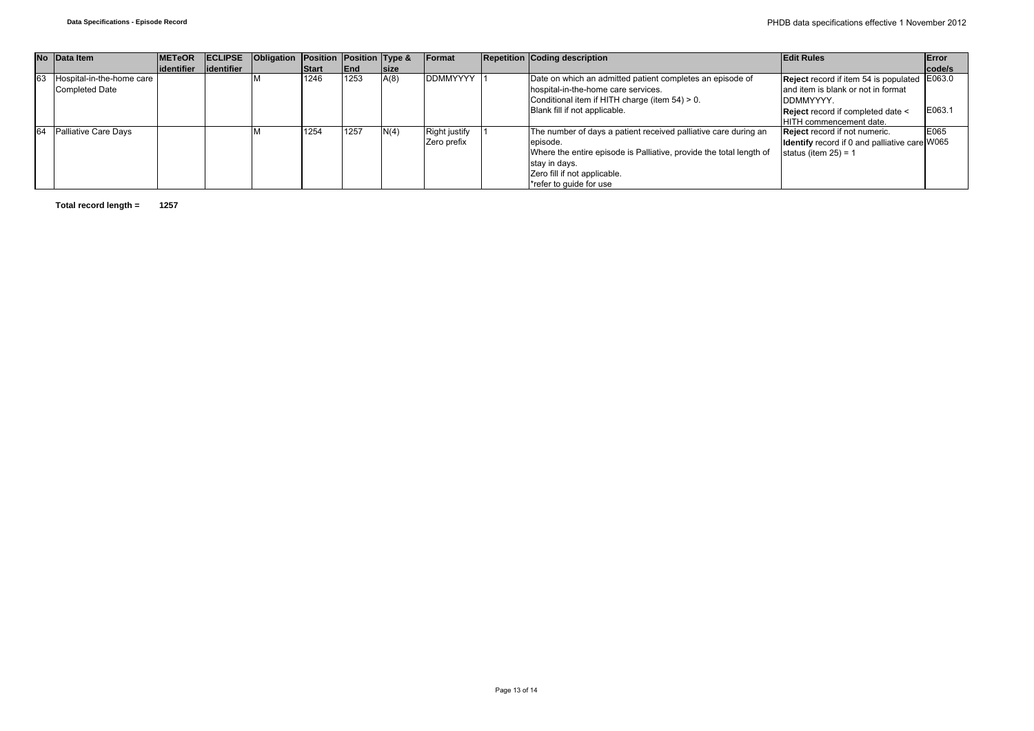|    | No Data Item                | <b>IMETeOR</b> | <b>IECLIPSE</b> | Obligation Position Position Type & |              |            |             | Format               | <b>Repetition Coding description</b>                                | <b>Edit Rules</b>                                    | Error  |
|----|-----------------------------|----------------|-----------------|-------------------------------------|--------------|------------|-------------|----------------------|---------------------------------------------------------------------|------------------------------------------------------|--------|
|    |                             | lidentifier    | lidentifier     |                                     | <b>Start</b> | <b>End</b> | <b>Size</b> |                      |                                                                     |                                                      | code/s |
| 63 | Hospital-in-the-home care   |                |                 |                                     | 1246         | 1253       | A(8)        | <b>DDMMYYYY</b>      | Date on which an admitted patient completes an episode of           | Reject record if item 54 is populated E063.0         |        |
|    | <b>Completed Date</b>       |                |                 |                                     |              |            |             |                      | hospital-in-the-home care services.                                 | and item is blank or not in format                   |        |
|    |                             |                |                 |                                     |              |            |             |                      | Conditional item if HITH charge (item 54) > 0.                      | DDMMYYYY.                                            |        |
|    |                             |                |                 |                                     |              |            |             |                      | Blank fill if not applicable.                                       | Reject record if completed date <                    | E063.1 |
|    |                             |                |                 |                                     |              |            |             |                      |                                                                     | HITH commencement date.                              |        |
| 64 | <b>Palliative Care Days</b> |                |                 |                                     | 1254         | 11257      | N(4)        | <b>Right justify</b> | The number of days a patient received palliative care during an     | <b>Reject</b> record if not numeric.                 | E065   |
|    |                             |                |                 |                                     |              |            |             | Zero prefix          | episode.                                                            | <b>Identify</b> record if 0 and palliative care W065 |        |
|    |                             |                |                 |                                     |              |            |             |                      | Where the entire episode is Palliative, provide the total length of | status (item $25$ ) = 1                              |        |
|    |                             |                |                 |                                     |              |            |             |                      | stay in days.                                                       |                                                      |        |
|    |                             |                |                 |                                     |              |            |             |                      | Zero fill if not applicable.                                        |                                                      |        |
|    |                             |                |                 |                                     |              |            |             |                      | *refer to quide for use                                             |                                                      |        |

**Total record length = 1257**